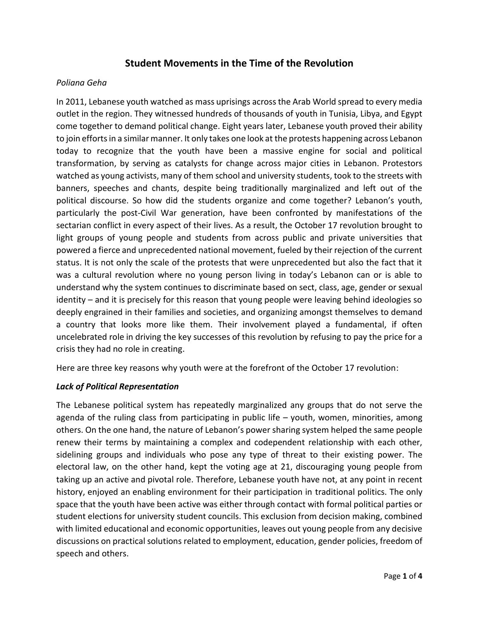# **Student Movements in the Time of the Revolution**

#### *Poliana Geha*

In 2011, Lebanese youth watched as mass uprisings across the Arab World spread to every media outlet in the region. They witnessed hundreds of thousands of youth in Tunisia, Libya, and Egypt come together to demand political change. Eight years later, Lebanese youth proved their ability to join efforts in a similar manner. It only takes one look at the protests happening across Lebanon today to recognize that the youth have been a massive engine for social and political transformation, by serving as catalysts for change across major cities in Lebanon. Protestors watched as young activists, many of them school and university students, took to the streets with banners, speeches and chants, despite being traditionally marginalized and left out of the political discourse. So how did the students organize and come together? Lebanon's youth, particularly the post-Civil War generation, have been confronted by manifestations of the sectarian conflict in every aspect of their lives. As a result, the October 17 revolution brought to light groups of young people and students from across public and private universities that powered a fierce and unprecedented national movement, fueled by their rejection of the current status. It is not only the scale of the protests that were unprecedented but also the fact that it was a cultural revolution where no young person living in today's Lebanon can or is able to understand why the system continues to discriminate based on sect, class, age, gender or sexual identity – and it is precisely for this reason that young people were leaving behind ideologies so deeply engrained in their families and societies, and organizing amongst themselves to demand a country that looks more like them. Their involvement played a fundamental, if often uncelebrated role in driving the key successes of this revolution by refusing to pay the price for a crisis they had no role in creating.

Here are three key reasons why youth were at the forefront of the October 17 revolution:

### *Lack of Political Representation*

The Lebanese political system has repeatedly marginalized any groups that do not serve the agenda of the ruling class from participating in public life – youth, women, minorities, among others. On the one hand, the nature of Lebanon's power sharing system helped the same people renew their terms by maintaining a complex and codependent relationship with each other, sidelining groups and individuals who pose any type of threat to their existing power. The electoral law, on the other hand, kept the voting age at 21, discouraging young people from taking up an active and pivotal role. Therefore, Lebanese youth have not, at any point in recent history, enjoyed an enabling environment for their participation in traditional politics. The only space that the youth have been active was either through contact with formal political parties or student elections for university student councils. This exclusion from decision making, combined with limited educational and economic opportunities, leaves out young people from any decisive discussions on practical solutions related to employment, education, gender policies, freedom of speech and others.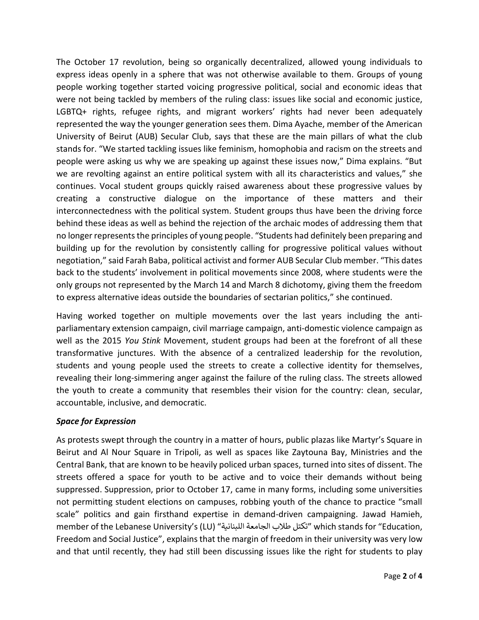The October 17 revolution, being so organically decentralized, allowed young individuals to express ideas openly in a sphere that was not otherwise available to them. Groups of young people working together started voicing progressive political, social and economic ideas that were not being tackled by members of the ruling class: issues like social and economic justice, LGBTQ+ rights, refugee rights, and migrant workers' rights had never been adequately represented the way the younger generation sees them. Dima Ayache, member of the American University of Beirut (AUB) Secular Club, says that these are the main pillars of what the club stands for. "We started tackling issues like feminism, homophobia and racism on the streets and people were asking us why we are speaking up against these issues now," Dima explains. "But we are revolting against an entire political system with all its characteristics and values," she continues. Vocal student groups quickly raised awareness about these progressive values by creating a constructive dialogue on the importance of these matters and their interconnectedness with the political system. Student groups thus have been the driving force behind these ideas as well as behind the rejection of the archaic modes of addressing them that no longer represents the principles of young people. "Students had definitely been preparing and building up for the revolution by consistently calling for progressive political values without negotiation," said Farah Baba, political activist and former AUB Secular Club member. "This dates back to the students' involvement in political movements since 2008, where students were the only groups not represented by the March 14 and March 8 dichotomy, giving them the freedom to express alternative ideas outside the boundaries of sectarian politics," she continued.

Having worked together on multiple movements over the last years including the antiparliamentary extension campaign, civil marriage campaign, anti-domestic violence campaign as well as the 2015 *You Stink* Movement, student groups had been at the forefront of all these transformative junctures. With the absence of a centralized leadership for the revolution, students and young people used the streets to create a collective identity for themselves, revealing their long-simmering anger against the failure of the ruling class. The streets allowed the youth to create a community that resembles their vision for the country: clean, secular, accountable, inclusive, and democratic.

## *Space for Expression*

As protests swept through the country in a matter of hours, public plazas like Martyr's Square in Beirut and Al Nour Square in Tripoli, as well as spaces like Zaytouna Bay, Ministries and the Central Bank, that are known to be heavily policed urban spaces, turned into sites of dissent. The streets offered a space for youth to be active and to voice their demands without being suppressed. Suppression, prior to October 17, came in many forms, including some universities not permitting student elections on campuses, robbing youth of the chance to practice "small scale" politics and gain firsthand expertise in demand-driven campaigning. Jawad Hamieh, member of the Lebanese University's (LU) "اللبنانية الجامعة طالب تكتل "which stands for "Education, Freedom and Social Justice", explains that the margin of freedom in their university was very low and that until recently, they had still been discussing issues like the right for students to play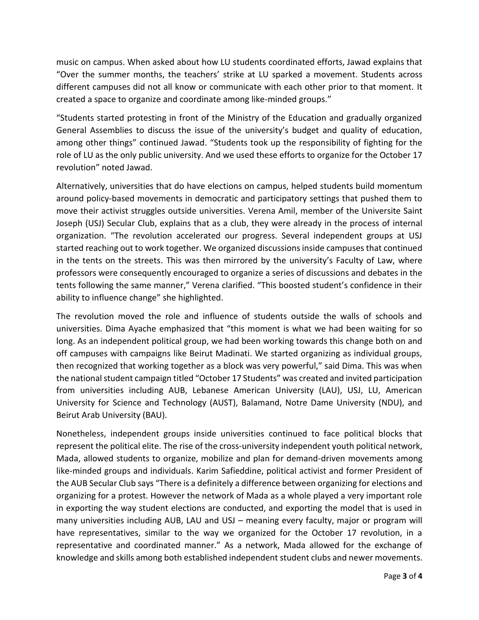music on campus. When asked about how LU students coordinated efforts, Jawad explains that "Over the summer months, the teachers' strike at LU sparked a movement. Students across different campuses did not all know or communicate with each other prior to that moment. It created a space to organize and coordinate among like-minded groups."

"Students started protesting in front of the Ministry of the Education and gradually organized General Assemblies to discuss the issue of the university's budget and quality of education, among other things" continued Jawad. "Students took up the responsibility of fighting for the role of LU as the only public university. And we used these efforts to organize for the October 17 revolution" noted Jawad.

Alternatively, universities that do have elections on campus, helped students build momentum around policy-based movements in democratic and participatory settings that pushed them to move their activist struggles outside universities. Verena Amil, member of the Universite Saint Joseph (USJ) Secular Club, explains that as a club, they were already in the process of internal organization. "The revolution accelerated our progress. Several independent groups at USJ started reaching out to work together. We organized discussions inside campuses that continued in the tents on the streets. This was then mirrored by the university's Faculty of Law, where professors were consequently encouraged to organize a series of discussions and debates in the tents following the same manner," Verena clarified. "This boosted student's confidence in their ability to influence change" she highlighted.

The revolution moved the role and influence of students outside the walls of schools and universities. Dima Ayache emphasized that "this moment is what we had been waiting for so long. As an independent political group, we had been working towards this change both on and off campuses with campaigns like Beirut Madinati. We started organizing as individual groups, then recognized that working together as a block was very powerful," said Dima. This was when the national student campaign titled "October 17 Students" was created and invited participation from universities including AUB, Lebanese American University (LAU), USJ, LU, American University for Science and Technology (AUST), Balamand, Notre Dame University (NDU), and Beirut Arab University (BAU).

Nonetheless, independent groups inside universities continued to face political blocks that represent the political elite. The rise of the cross-university independent youth political network, Mada, allowed students to organize, mobilize and plan for demand-driven movements among like-minded groups and individuals. Karim Safieddine, political activist and former President of the AUB Secular Club says "There is a definitely a difference between organizing for elections and organizing for a protest. However the network of Mada as a whole played a very important role in exporting the way student elections are conducted, and exporting the model that is used in many universities including AUB, LAU and USJ – meaning every faculty, major or program will have representatives, similar to the way we organized for the October 17 revolution, in a representative and coordinated manner." As a network, Mada allowed for the exchange of knowledge and skills among both established independent student clubs and newer movements.